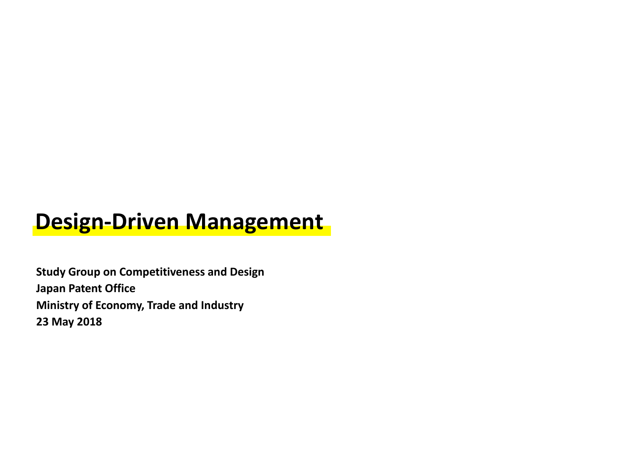# **Design-Driven Management**

**Study Group on Competitiveness and Design Japan Patent Office Ministry of Economy, Trade and Industry 23 May 2018**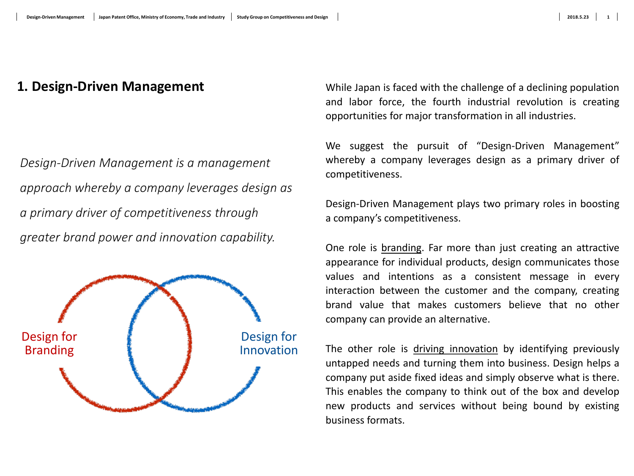*Design-Driven Management is a management approach whereby a company leverages design as a primary driver of competitiveness through greater brand power and innovation capability.*



**1. Design-Driven Management** While Japan is faced with the challenge of a declining population and labor force, the fourth industrial revolution is creating opportunities for major transformation in all industries.

> We suggest the pursuit of "Design-Driven Management" whereby a company leverages design as a primary driver of competitiveness.

> Design-Driven Management plays two primary roles in boosting a company's competitiveness.

> One role is branding. Far more than just creating an attractive appearance for individual products, design communicates those values and intentions as a consistent message in every interaction between the customer and the company, creating brand value that makes customers believe that no other company can provide an alternative.

> The other role is driving innovation by identifying previously untapped needs and turning them into business. Design helps a company put aside fixed ideas and simply observe what is there. This enables the company to think out of the box and develop new products and services without being bound by existing business formats.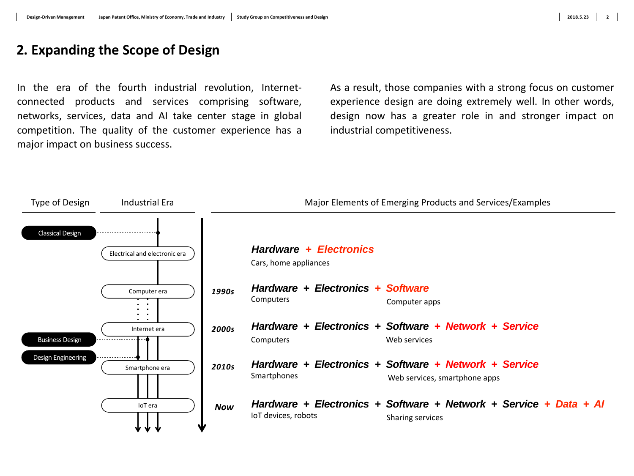### **2. Expanding the Scope of Design**

In the era of the fourth industrial revolution, Internetconnected products and services comprising software, networks, services, data and AI take center stage in global competition. The quality of the customer experience has a major impact on business success.

As a result, those companies with a strong focus on customer experience design are doing extremely well. In other words, design now has a greater role in and stronger impact on industrial competitiveness.

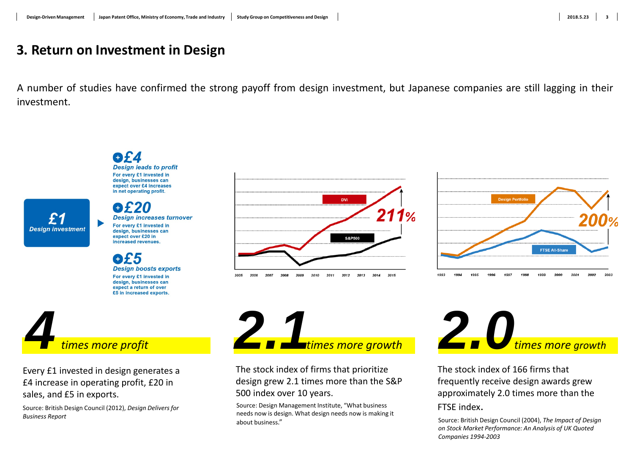### **3. Return on Investment in Design**

A number of studies have confirmed the strong payoff from design investment, but Japanese companies are still lagging in their investment.

**Design leads to profit** For every £1 invested in design, businesses can expect over £4 increases in net operating profit. **Design increases turnover** For every £1 invested in **Design investment** design, businesses can expect over £20 in increased revenues **OL5 Design boosts exports** For every £1 invested in design, businesses can expect a return of over £5 in increased exports. *4times more profit*

Every £1 invested in design generates a £4 increase in operating profit, £20 in sales, and £5 in exports.

Source: British Design Council (2012), *Design Delivers for Business Report*





The stock index of firms that prioritize design grew 2.1 times more than the S&P 500 index over 10 years.

Source: Design Management Institute, "What business needs now is design. What design needs now is making it about business."



The stock index of 166 firms that frequently receive design awards grew approximately 2.0 times more than the FTSE index.

Source: British Design Council (2004), *The Impact of Design on Stock Market Performance: An Analysis of UK Quoted Companies 1994-2003*

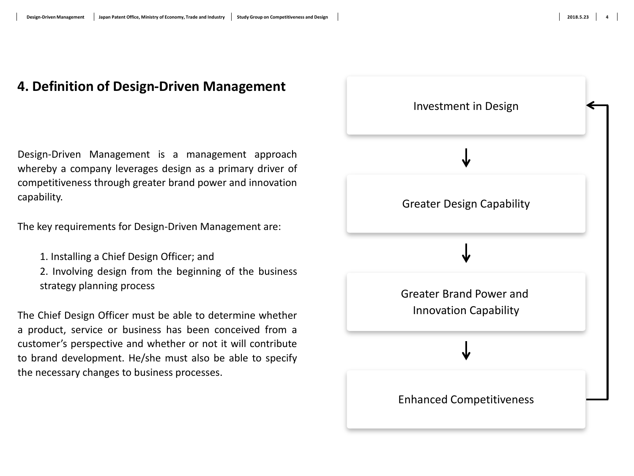### **4. Definition of Design-Driven Management**

Design-Driven Management is a management approach whereby a company leverages design as a primary driver of competitiveness through greater brand power and innovation capability.

The key requirements for Design-Driven Management are:

- 1. Installing a Chief Design Officer; and
- 2. Involving design from the beginning of the business strategy planning process

The Chief Design Officer must be able to determine whether a product, service or business has been conceived from a customer's perspective and whether or not it will contribute to brand development. He/she must also be able to specify the necessary changes to business processes.

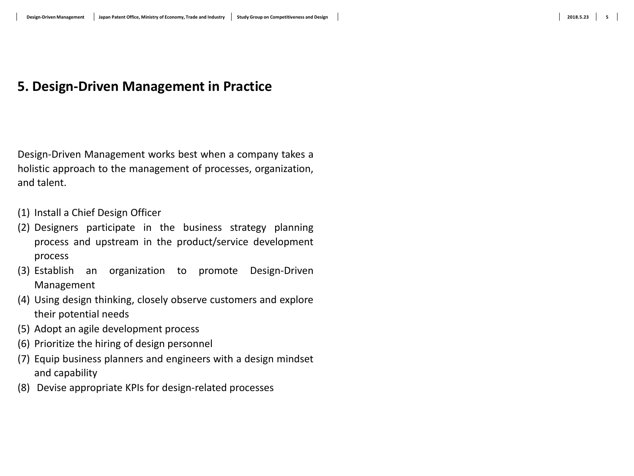### **5**

### **5. Design-Driven Management in Practice**

Design-Driven Management works best when a company takes a holistic approach to the management of processes, organization, and talent.

- (1) Install a Chief Design Officer
- (2) Designers participate in the business strategy planning process and upstream in the product/service development process
- (3) Establish an organization to promote Design-Driven Management
- (4) Using design thinking, closely observe customers and explore their potential needs
- (5) Adopt an agile development process
- (6) Prioritize the hiring of design personnel
- (7) Equip business planners and engineers with a design mindset and capability
- (8) Devise appropriate KPIs for design-related processes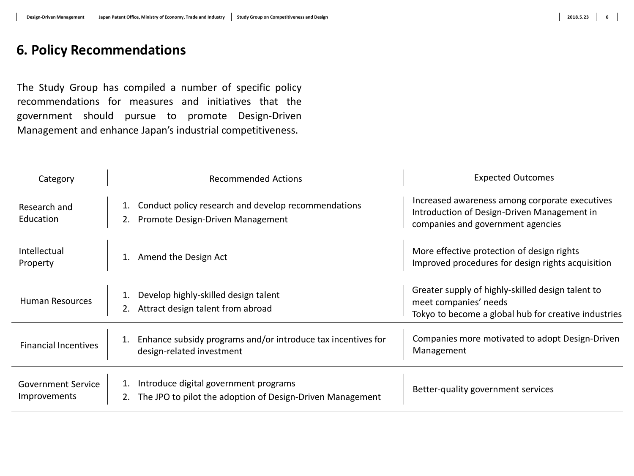The Study Group has compiled a number of specific policy recommendations for measures and initiatives that the government should pursue to promote Design-Driven Management and enhance Japan's industrial competitiveness.

| Category                                  | <b>Recommended Actions</b>                                                                               | <b>Expected Outcomes</b>                                                                                                           |
|-------------------------------------------|----------------------------------------------------------------------------------------------------------|------------------------------------------------------------------------------------------------------------------------------------|
| Research and<br>Education                 | Conduct policy research and develop recommendations<br>Promote Design-Driven Management                  | Increased awareness among corporate executives<br>Introduction of Design-Driven Management in<br>companies and government agencies |
| Intellectual<br>Property                  | Amend the Design Act                                                                                     | More effective protection of design rights<br>Improved procedures for design rights acquisition                                    |
| <b>Human Resources</b>                    | Develop highly-skilled design talent<br>Attract design talent from abroad                                | Greater supply of highly-skilled design talent to<br>meet companies' needs<br>Tokyo to become a global hub for creative industries |
| <b>Financial Incentives</b>               | Enhance subsidy programs and/or introduce tax incentives for<br>1.<br>design-related investment          | Companies more motivated to adopt Design-Driven<br>Management                                                                      |
| <b>Government Service</b><br>Improvements | Introduce digital government programs<br>The JPO to pilot the adoption of Design-Driven Management<br>2. | Better-quality government services                                                                                                 |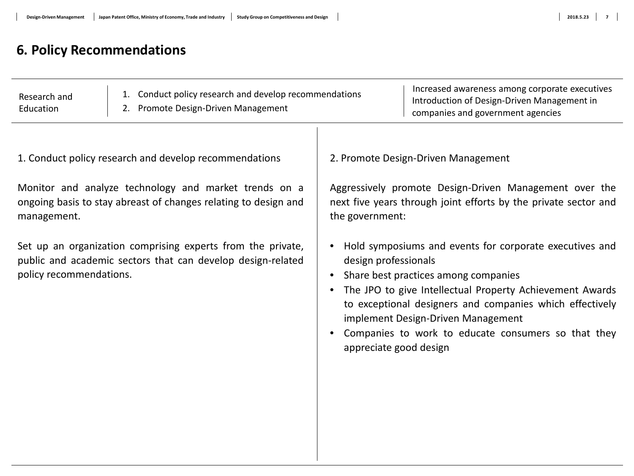### **7**

### **6. Policy Recommendations**

| Research and<br>Education | 1. Conduct policy research and develop recommendations<br>2. Promote Design-Driven Management | Increased awareness among corporate executives<br>Introduction of Design-Driven Management in<br>companies and government agencies |
|---------------------------|-----------------------------------------------------------------------------------------------|------------------------------------------------------------------------------------------------------------------------------------|
|---------------------------|-----------------------------------------------------------------------------------------------|------------------------------------------------------------------------------------------------------------------------------------|

1. Conduct policy research and develop recommendations

Monitor and analyze technology and market trends on a ongoing basis to stay abreast of changes relating to design and management.

Set up an organization comprising experts from the private, public and academic sectors that can develop design-related policy recommendations.

2. Promote Design-Driven Management

Aggressively promote Design-Driven Management over the next five years through joint efforts by the private sector and the government:

- Hold symposiums and events for corporate executives and design professionals
- Share best practices among companies
- The JPO to give Intellectual Property Achievement Awards to exceptional designers and companies which effectively implement Design-Driven Management
- Companies to work to educate consumers so that they appreciate good design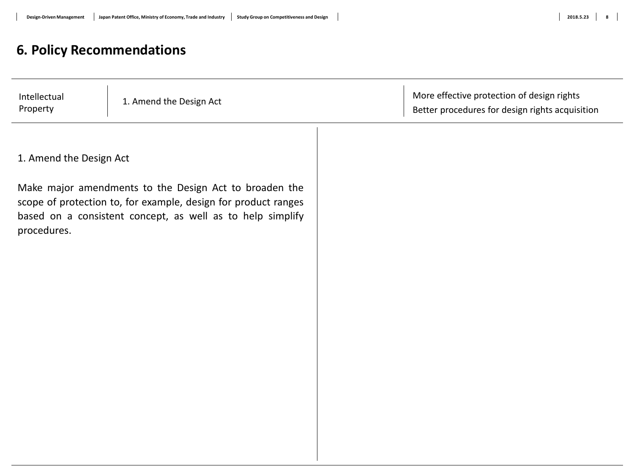| Intellectual<br>Property | 1. Amend the Design Act                                                                                                                                                                | More effective protection of design rights<br>Better procedures for design rights acquisition |
|--------------------------|----------------------------------------------------------------------------------------------------------------------------------------------------------------------------------------|-----------------------------------------------------------------------------------------------|
|                          |                                                                                                                                                                                        |                                                                                               |
| 1. Amend the Design Act  |                                                                                                                                                                                        |                                                                                               |
| procedures.              | Make major amendments to the Design Act to broaden the<br>scope of protection to, for example, design for product ranges<br>based on a consistent concept, as well as to help simplify |                                                                                               |
|                          |                                                                                                                                                                                        |                                                                                               |
|                          |                                                                                                                                                                                        |                                                                                               |
|                          |                                                                                                                                                                                        |                                                                                               |
|                          |                                                                                                                                                                                        |                                                                                               |
|                          |                                                                                                                                                                                        |                                                                                               |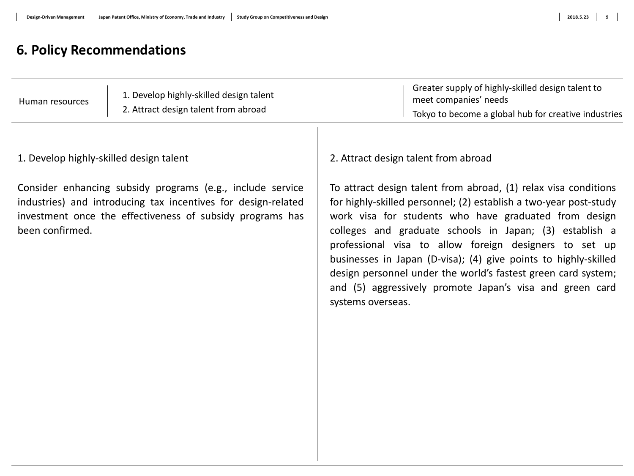### **9**

### **6. Policy Recommendations**

1. Develop highly-skilled design talent

Consider enhancing subsidy programs (e.g., include service industries) and introducing tax incentives for design-related investment once the effectiveness of subsidy programs has been confirmed.

2. Attract design talent from abroad

To attract design talent from abroad, (1) relax visa conditions for highly-skilled personnel; (2) establish a two-year post-study work visa for students who have graduated from design colleges and graduate schools in Japan; (3) establish a professional visa to allow foreign designers to set up businesses in Japan (D-visa); (4) give points to highly-skilled design personnel under the world's fastest green card system; and (5) aggressively promote Japan's visa and green card systems overseas.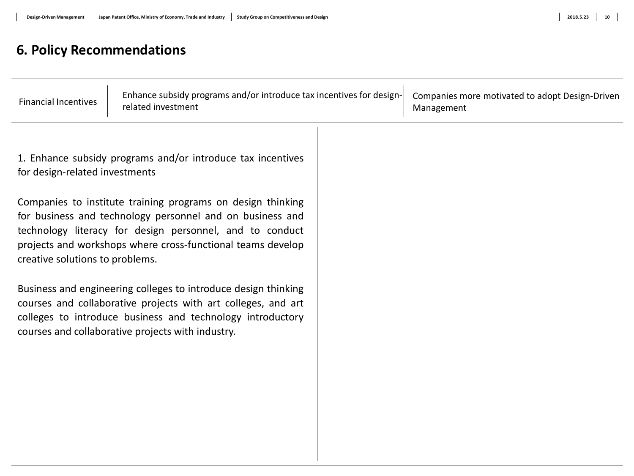| <b>Financial Incentives</b>                                                                                                                                                                                                                                                            | Enhance subsidy programs and/or introduce tax incentives for design-<br>related investment |  | Companies more motivated to adopt Design-Driven<br>Management |
|----------------------------------------------------------------------------------------------------------------------------------------------------------------------------------------------------------------------------------------------------------------------------------------|--------------------------------------------------------------------------------------------|--|---------------------------------------------------------------|
| for design-related investments                                                                                                                                                                                                                                                         | 1. Enhance subsidy programs and/or introduce tax incentives                                |  |                                                               |
| Companies to institute training programs on design thinking<br>for business and technology personnel and on business and<br>technology literacy for design personnel, and to conduct<br>projects and workshops where cross-functional teams develop<br>creative solutions to problems. |                                                                                            |  |                                                               |
| Business and engineering colleges to introduce design thinking<br>courses and collaborative projects with art colleges, and art<br>colleges to introduce business and technology introductory<br>courses and collaborative projects with industry.                                     |                                                                                            |  |                                                               |
|                                                                                                                                                                                                                                                                                        |                                                                                            |  |                                                               |